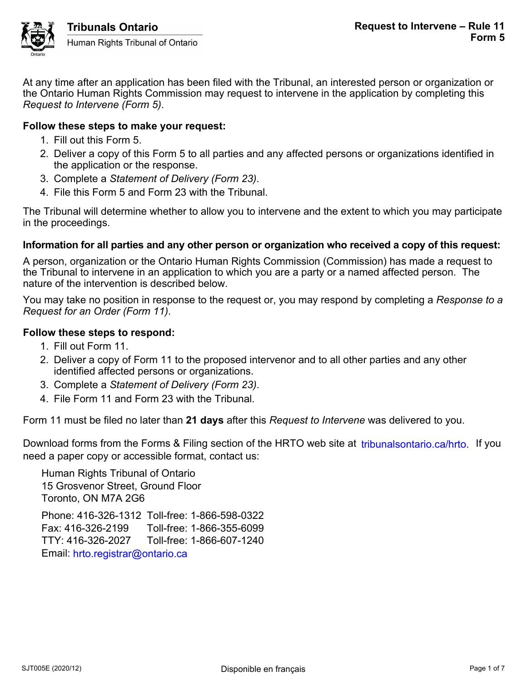

At any time after an application has been filed with the Tribunal, an interested person or organization or the Ontario Human Rights Commission may request to intervene in the application by completing this *Request to Intervene (Form 5)*.

#### **Follow these steps to make your request:**

- 1. Fill out this Form 5.
- 2. Deliver a copy of this Form 5 to all parties and any affected persons or organizations identified in the application or the response.
- 3. Complete a *Statement of Delivery (Form 23)*.
- 4. File this Form 5 and Form 23 with the Tribunal.

The Tribunal will determine whether to allow you to intervene and the extent to which you may participate in the proceedings.

#### **Information for all parties and any other person or organization who received a copy of this request:**

A person, organization or the Ontario Human Rights Commission (Commission) has made a request to the Tribunal to intervene in an application to which you are a party or a named affected person. The nature of the intervention is described below.

You may take no position in response to the request or, you may respond by completing a *Response to a Request for an Order (Form 11)*.

#### **Follow these steps to respond:**

- 1. Fill out Form 11.
- 2. Deliver a copy of Form 11 to the proposed intervenor and to all other parties and any other identified affected persons or organizations.
- 3. Complete a *Statement of Delivery (Form 23)*.
- 4. File Form 11 and Form 23 with the Tribunal.

Form 11 must be filed no later than **21 days** after this *Request to Intervene* was delivered to you.

Download forms from the Forms & Filing section of the HRTO web site at *tribunalsontario.ca/hrto.* If you need a paper copy or accessible format, contact us:

Human Rights Tribunal of Ontario 15 Grosvenor Street, Ground Floor Toronto, ON M7A 2G6 Phone: 416-326-1312 Toll-free: 1-866-598-0322 Fax: 416-326-2199 Toll-free: 1-866-355-6099 TTY: 416-326-2027 Toll-free: 1-866-607-1240 Email: hrto.registrar@ontario.ca forms from the Forms & Filing section of the HRTO web site at tribunalsontario.ca/hrto. If you<br>
Rights Tribunal of Ontario<br>
Rights Tribunal of Ontario<br>
syenor Street, Ground Floor<br>
9, ON M7A 2G6<br>
416-326-1312 Toll-free: 1-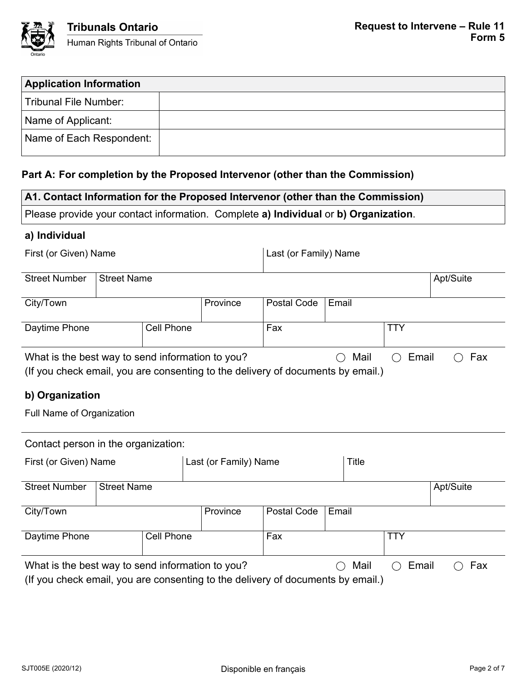

| <b>Application Information</b> |  |
|--------------------------------|--|
| Tribunal File Number:          |  |
| Name of Applicant:             |  |
| Name of Each Respondent:       |  |

### **Part A: For completion by the Proposed Intervenor (other than the Commission)**

| A1. Contact Information for the Proposed Intervenor (other than the Commission)                                                                      |                    |                   |                       |                                                                       |              |  |  |  |
|------------------------------------------------------------------------------------------------------------------------------------------------------|--------------------|-------------------|-----------------------|-----------------------------------------------------------------------|--------------|--|--|--|
| Please provide your contact information. Complete a) Individual or b) Organization.                                                                  |                    |                   |                       |                                                                       |              |  |  |  |
| a) Individual                                                                                                                                        |                    |                   |                       |                                                                       |              |  |  |  |
| First (or Given) Name                                                                                                                                |                    |                   | Last (or Family) Name |                                                                       |              |  |  |  |
| <b>Street Number</b>                                                                                                                                 | <b>Street Name</b> |                   |                       | Apt/Suite                                                             |              |  |  |  |
| City/Town                                                                                                                                            |                    |                   | Province              | <b>Postal Code</b>                                                    | Email        |  |  |  |
| Daytime Phone                                                                                                                                        |                    | <b>Cell Phone</b> |                       | Fax                                                                   | <b>TTY</b>   |  |  |  |
| What is the best way to send information to you?<br>Mail<br>Email<br>(If you check email, you are consenting to the delivery of documents by email.) |                    |                   |                       | Fax                                                                   |              |  |  |  |
| b) Organization                                                                                                                                      |                    |                   |                       |                                                                       |              |  |  |  |
| Full Name of Organization                                                                                                                            |                    |                   |                       |                                                                       |              |  |  |  |
| Contact person in the organization:                                                                                                                  |                    |                   |                       |                                                                       |              |  |  |  |
| Last (or Family) Name<br>First (or Given) Name                                                                                                       |                    |                   |                       |                                                                       | <b>Title</b> |  |  |  |
| <b>Street Number</b><br><b>Street Name</b>                                                                                                           |                    |                   |                       | Apt/Suite                                                             |              |  |  |  |
| $\bigcap_{i=1}^{n}$                                                                                                                                  |                    |                   | $D_{max}$             | $\Gamma$ Deater $\Omega$ and $\Gamma$ $\Gamma$ $\sim$ $\sim$ $\Omega$ |              |  |  |  |

City/Town Province Postal Code Email Daytime Phone Cell Phone Fax Fax TTY What is the best way to send information to you?  $\bigcirc$  Mail  $\bigcirc$  Email  $\bigcirc$  Fax

(If you check email, you are consenting to the delivery of documents by email.)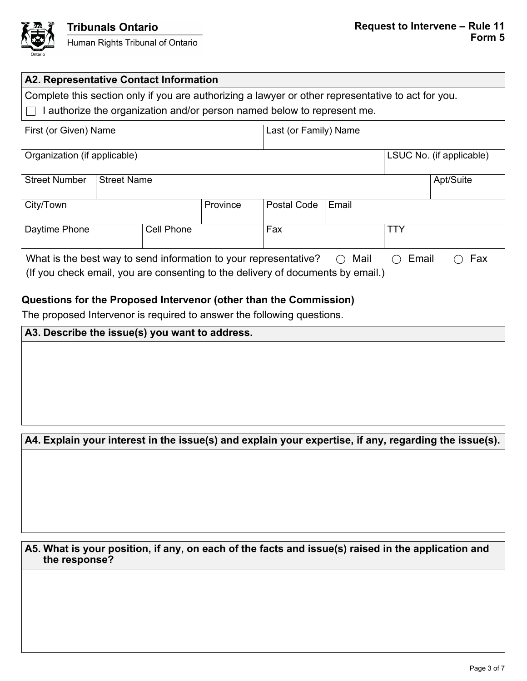

| A2. Representative Contact Information                                                                                                              |                                                                                                    |                    |          |             |               |       |           |
|-----------------------------------------------------------------------------------------------------------------------------------------------------|----------------------------------------------------------------------------------------------------|--------------------|----------|-------------|---------------|-------|-----------|
|                                                                                                                                                     | Complete this section only if you are authorizing a lawyer or other representative to act for you. |                    |          |             |               |       |           |
| I authorize the organization and/or person named below to represent me.                                                                             |                                                                                                    |                    |          |             |               |       |           |
| First (or Given) Name<br>Last (or Family) Name                                                                                                      |                                                                                                    |                    |          |             |               |       |           |
| LSUC No. (if applicable)<br>Organization (if applicable)                                                                                            |                                                                                                    |                    |          |             |               |       |           |
| <b>Street Number</b>                                                                                                                                |                                                                                                    | <b>Street Name</b> |          |             |               |       | Apt/Suite |
| City/Town                                                                                                                                           |                                                                                                    |                    | Province | Postal Code | Email         |       |           |
| Fax<br><b>TTY</b><br>Daytime Phone<br>Cell Phone                                                                                                    |                                                                                                    |                    |          |             |               |       |           |
| What is the best way to send information to your representative?<br>(If you check email, you are consenting to the delivery of documents by email.) |                                                                                                    |                    |          |             | Mail<br>$($ ) | Email | Fax       |

## **Questions for the Proposed Intervenor (other than the Commission)**

The proposed Intervenor is required to answer the following questions.

| A3. Describe the issue(s) you want to address.                                                        |  |  |  |
|-------------------------------------------------------------------------------------------------------|--|--|--|
|                                                                                                       |  |  |  |
|                                                                                                       |  |  |  |
|                                                                                                       |  |  |  |
|                                                                                                       |  |  |  |
|                                                                                                       |  |  |  |
|                                                                                                       |  |  |  |
| A4. Explain your interest in the issue(s) and explain your expertise, if any, regarding the issue(s). |  |  |  |

### **A5. What is your position, if any, on each of the facts and issue(s) raised in the application and the response?**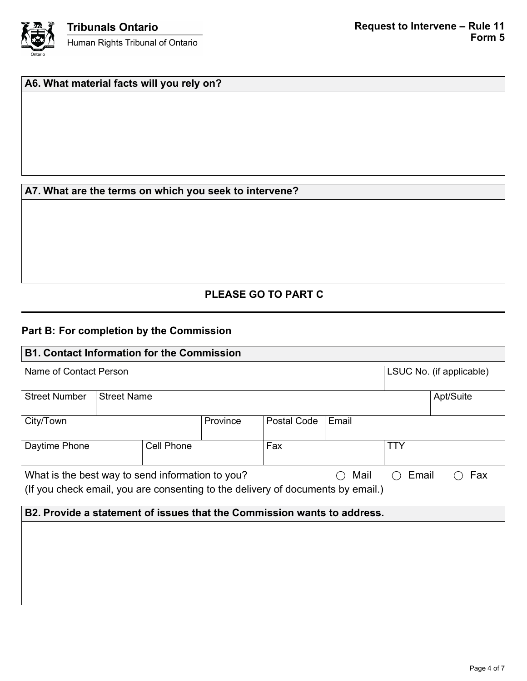

# **A6. What material facts will you rely on?**

### **A7. What are the terms on which you seek to intervene?**

# **PLEASE GO TO PART C**

## **Part B: For completion by the Commission**

| <b>B1. Contact Information for the Commission</b>                               |                    |  |          |                          |            |           |  |
|---------------------------------------------------------------------------------|--------------------|--|----------|--------------------------|------------|-----------|--|
| Name of Contact Person                                                          |                    |  |          | LSUC No. (if applicable) |            |           |  |
| <b>Street Number</b>                                                            | <b>Street Name</b> |  |          |                          |            | Apt/Suite |  |
| City/Town                                                                       |                    |  | Province | Postal Code              | Email      |           |  |
| <b>Cell Phone</b><br>Daytime Phone                                              |                    |  | Fax      |                          | <b>TTY</b> |           |  |
| What is the best way to send information to you?<br>Mail                        |                    |  | Email    | Fax                      |            |           |  |
| (If you check email, you are consenting to the delivery of documents by email.) |                    |  |          |                          |            |           |  |
| B2. Provide a statement of issues that the Commission wants to address.         |                    |  |          |                          |            |           |  |
|                                                                                 |                    |  |          |                          |            |           |  |
|                                                                                 |                    |  |          |                          |            |           |  |
|                                                                                 |                    |  |          |                          |            |           |  |
|                                                                                 |                    |  |          |                          |            |           |  |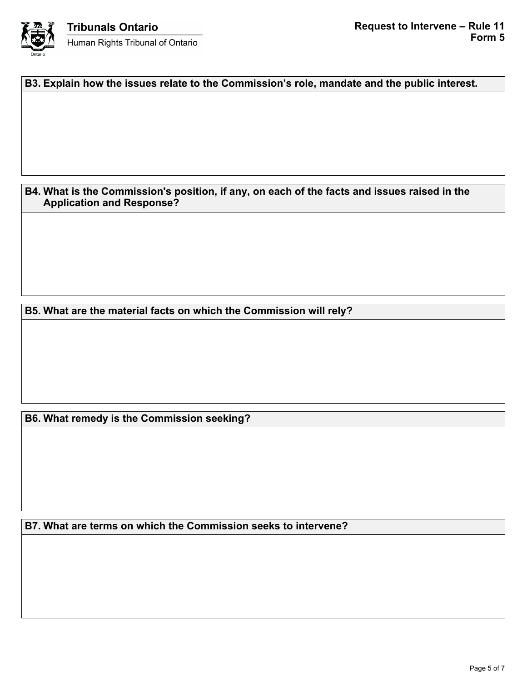

**B3. Explain how the issues relate to the Commission's role, mandate and the public interest.**

**B4. What is the Commission's position, if any, on each of the facts and issues raised in the Application and Response?**

**B5. What are the material facts on which the Commission will rely?**

**B6. What remedy is the Commission seeking?**

**B7. What are terms on which the Commission seeks to intervene?**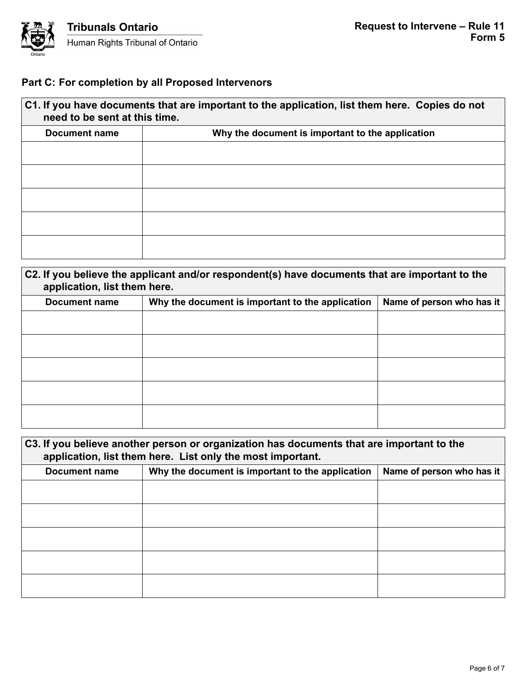

# **Part C: For completion by all Proposed Intervenors**

| C1. If you have documents that are important to the application, list them here. Copies do not<br>need to be sent at this time. |                                                  |  |  |  |
|---------------------------------------------------------------------------------------------------------------------------------|--------------------------------------------------|--|--|--|
| Document name                                                                                                                   | Why the document is important to the application |  |  |  |
|                                                                                                                                 |                                                  |  |  |  |
|                                                                                                                                 |                                                  |  |  |  |
|                                                                                                                                 |                                                  |  |  |  |
|                                                                                                                                 |                                                  |  |  |  |
|                                                                                                                                 |                                                  |  |  |  |
|                                                                                                                                 |                                                  |  |  |  |

| C2. If you believe the applicant and/or respondent(s) have documents that are important to the<br>application, list them here. |                                                  |                           |  |  |  |
|--------------------------------------------------------------------------------------------------------------------------------|--------------------------------------------------|---------------------------|--|--|--|
| <b>Document name</b>                                                                                                           | Why the document is important to the application | Name of person who has it |  |  |  |
|                                                                                                                                |                                                  |                           |  |  |  |
|                                                                                                                                |                                                  |                           |  |  |  |
|                                                                                                                                |                                                  |                           |  |  |  |
|                                                                                                                                |                                                  |                           |  |  |  |
|                                                                                                                                |                                                  |                           |  |  |  |

| C3. If you believe another person or organization has documents that are important to the<br>application, list them here. List only the most important. |                                                                               |  |  |  |
|---------------------------------------------------------------------------------------------------------------------------------------------------------|-------------------------------------------------------------------------------|--|--|--|
| <b>Document name</b>                                                                                                                                    | Name of person who has it<br>Why the document is important to the application |  |  |  |
|                                                                                                                                                         |                                                                               |  |  |  |
|                                                                                                                                                         |                                                                               |  |  |  |
|                                                                                                                                                         |                                                                               |  |  |  |
|                                                                                                                                                         |                                                                               |  |  |  |
|                                                                                                                                                         |                                                                               |  |  |  |